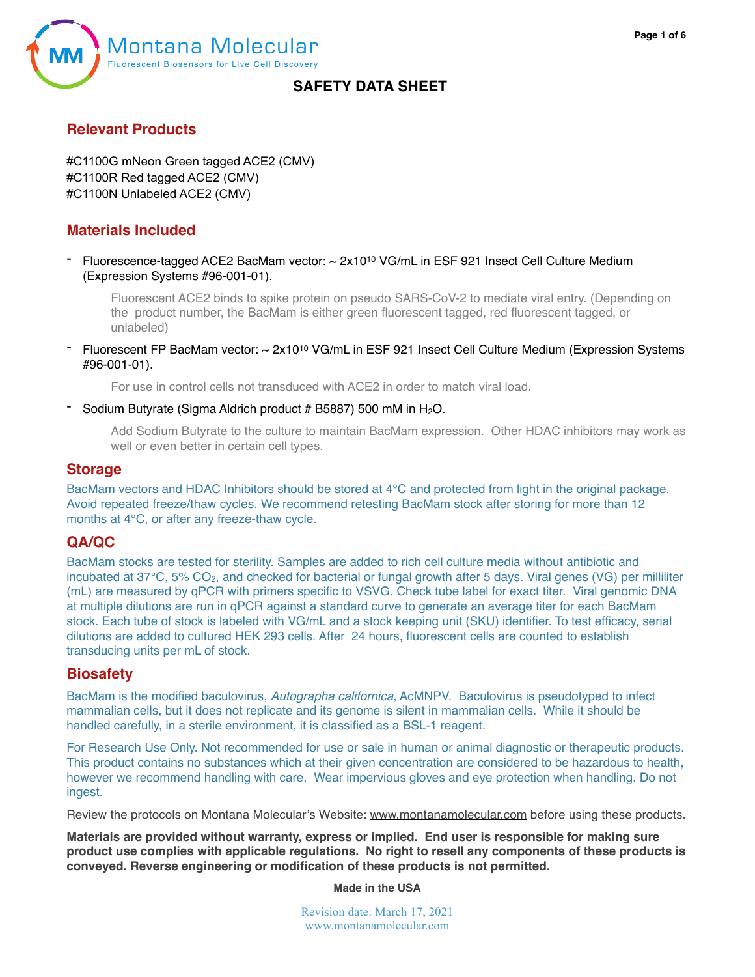

#### **Relevant Products**

#C1100G mNeon Green tagged ACE2 (CMV) #C1100R Red tagged ACE2 (CMV) #C1100N Unlabeled ACE2 (CMV)

### **Materials Included**

Fluorescence-tagged ACE2 BacMam vector: ~ 2x10<sup>10</sup> VG/mL in ESF 921 Insect Cell Culture Medium (Expression Systems #96-001-01).

Fluorescent ACE2 binds to spike protein on pseudo SARS-CoV-2 to mediate viral entry. (Depending on the product number, the BacMam is either green fluorescent tagged, red fluorescent tagged, or unlabeled)

Fluorescent FP BacMam vector: ~ 2x10<sup>10</sup> VG/mL in ESF 921 Insect Cell Culture Medium (Expression Systems #96-001-01).

For use in control cells not transduced with ACE2 in order to match viral load.

#### Sodium Butyrate (Sigma Aldrich product # B5887) 500 mM in  $H_2O$ .

Add Sodium Butyrate to the culture to maintain BacMam expression. Other HDAC inhibitors may work as well or even better in certain cell types.

#### **Storage**

BacMam vectors and HDAC Inhibitors should be stored at 4°C and protected from light in the original package. Avoid repeated freeze/thaw cycles. We recommend retesting BacMam stock after storing for more than 12 months at 4°C, or after any freeze-thaw cycle.

### **QA/QC**

BacMam stocks are tested for sterility. Samples are added to rich cell culture media without antibiotic and incubated at 37°C, 5% CO<sub>2</sub>, and checked for bacterial or fungal growth after 5 days. Viral genes (VG) per milliliter (mL) are measured by qPCR with primers specific to VSVG. Check tube label for exact titer. Viral genomic DNA at multiple dilutions are run in qPCR against a standard curve to generate an average titer for each BacMam stock. Each tube of stock is labeled with VG/mL and a stock keeping unit (SKU) identifier. To test efficacy, serial dilutions are added to cultured HEK 293 cells. After 24 hours, fluorescent cells are counted to establish transducing units per mL of stock.

#### **Biosafety**

BacMam is the modified baculovirus, *Autographa californica*, AcMNPV. Baculovirus is pseudotyped to infect mammalian cells, but it does not replicate and its genome is silent in mammalian cells. While it should be handled carefully, in a sterile environment, it is classified as a BSL-1 reagent.

For Research Use Only. Not recommended for use or sale in human or animal diagnostic or therapeutic products. This product contains no substances which at their given concentration are considered to be hazardous to health, however we recommend handling with care. Wear impervious gloves and eye protection when handling. Do not ingest.

Review the protocols on Montana Molecular's Website: [www.montanamolecular.com](http://www.montanamolecular.com) before using these products.

**Materials are provided without warranty, express or implied. End user is responsible for making sure product use complies with applicable regulations. No right to resell any components of these products is conveyed. Reverse engineering or modification of these products is not permitted.** 

**Made in the USA**

Revision date: March 17, 2021 [www.montanamolecular.com](http://www.montanamolecular.com)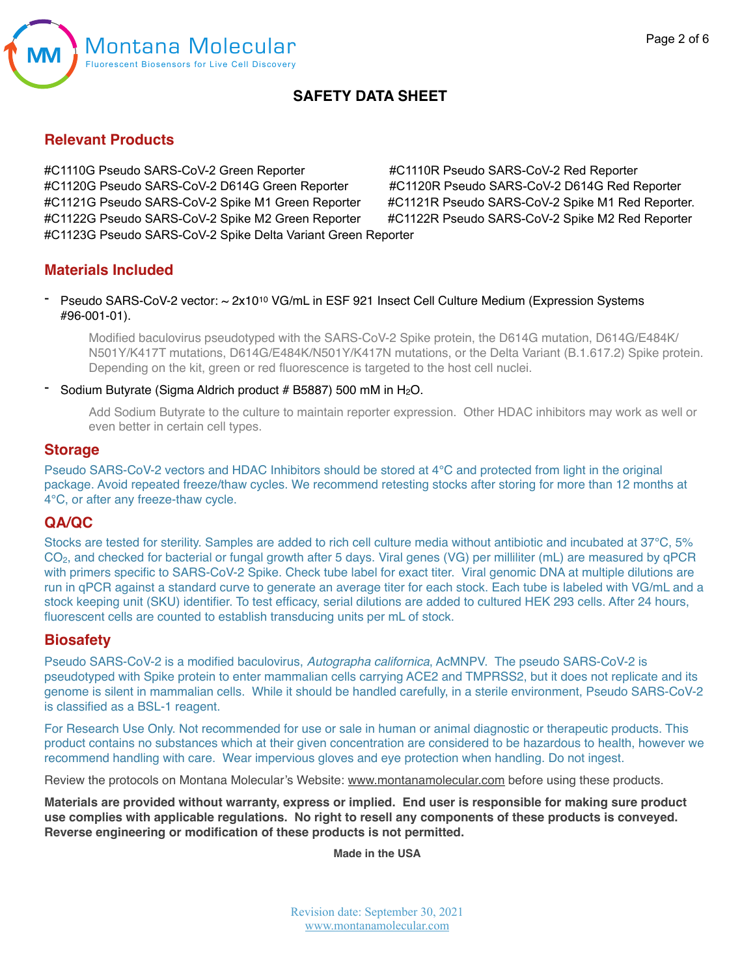

#### **Relevant Products**

#C1110G Pseudo SARS-CoV-2 Green Reporter #C1110R Pseudo SARS-CoV-2 Red Reporter #C1120G Pseudo SARS-CoV-2 D614G Green Reporter #C1120R Pseudo SARS-CoV-2 D614G Red Reporter #C1121G Pseudo SARS-CoV-2 Spike M1 Green Reporter #C1121R Pseudo SARS-CoV-2 Spike M1 Red Reporter. #C1122G Pseudo SARS-CoV-2 Spike M2 Green Reporter #C1122R Pseudo SARS-CoV-2 Spike M2 Red Reporter #C1123G Pseudo SARS-CoV-2 Spike Delta Variant Green Reporter

### **Materials Included**

Pseudo SARS-CoV-2 vector: ~ 2x10<sup>10</sup> VG/mL in ESF 921 Insect Cell Culture Medium (Expression Systems #96-001-01).

Modified baculovirus pseudotyped with the SARS-CoV-2 Spike protein, the D614G mutation, D614G/E484K/ N501Y/K417T mutations, D614G/E484K/N501Y/K417N mutations, or the Delta Variant (B.1.617.2) Spike protein. Depending on the kit, green or red fluorescence is targeted to the host cell nuclei.

Sodium Butyrate (Sigma Aldrich product  $#$  B5887) 500 mM in  $H_2O$ .

Add Sodium Butyrate to the culture to maintain reporter expression. Other HDAC inhibitors may work as well or even better in certain cell types.

#### **Storage**

Pseudo SARS-CoV-2 vectors and HDAC Inhibitors should be stored at 4°C and protected from light in the original package. Avoid repeated freeze/thaw cycles. We recommend retesting stocks after storing for more than 12 months at 4°C, or after any freeze-thaw cycle.

#### **QA/QC**

Stocks are tested for sterility. Samples are added to rich cell culture media without antibiotic and incubated at 37°C, 5% CO2, and checked for bacterial or fungal growth after 5 days. Viral genes (VG) per milliliter (mL) are measured by qPCR with primers specific to SARS-CoV-2 Spike. Check tube label for exact titer. Viral genomic DNA at multiple dilutions are run in qPCR against a standard curve to generate an average titer for each stock. Each tube is labeled with VG/mL and a stock keeping unit (SKU) identifier. To test efficacy, serial dilutions are added to cultured HEK 293 cells. After 24 hours, fluorescent cells are counted to establish transducing units per mL of stock.

#### **Biosafety**

Pseudo SARS-CoV-2 is a modified baculovirus, *Autographa californica*, AcMNPV. The pseudo SARS-CoV-2 is pseudotyped with Spike protein to enter mammalian cells carrying ACE2 and TMPRSS2, but it does not replicate and its genome is silent in mammalian cells. While it should be handled carefully, in a sterile environment, Pseudo SARS-CoV-2 is classified as a BSL-1 reagent.

For Research Use Only. Not recommended for use or sale in human or animal diagnostic or therapeutic products. This product contains no substances which at their given concentration are considered to be hazardous to health, however we recommend handling with care. Wear impervious gloves and eye protection when handling. Do not ingest.

Review the protocols on Montana Molecular's Website: [www.montanamolecular.com](http://www.montanamolecular.com) before using these products.

**Materials are provided without warranty, express or implied. End user is responsible for making sure product use complies with applicable regulations. No right to resell any components of these products is conveyed. Reverse engineering or modification of these products is not permitted.**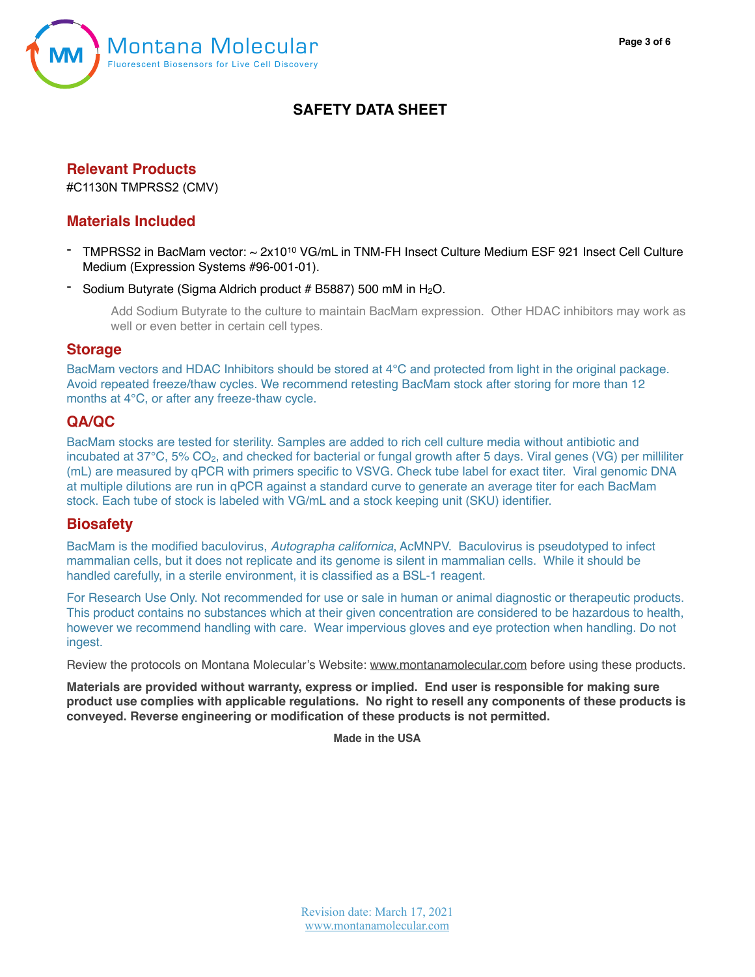



## **Relevant Products**

#C1130N TMPRSS2 (CMV)

#### **Materials Included**

- TMPRSS2 in BacMam vector: ~ 2x1010 VG/mL in TNM-FH Insect Culture Medium ESF 921 Insect Cell Culture Medium (Expression Systems #96-001-01).
- Sodium Butyrate (Sigma Aldrich product  $# B5887$ ) 500 mM in  $H_2O$ .

Add Sodium Butyrate to the culture to maintain BacMam expression. Other HDAC inhibitors may work as well or even better in certain cell types.

#### **Storage**

BacMam vectors and HDAC Inhibitors should be stored at 4°C and protected from light in the original package. Avoid repeated freeze/thaw cycles. We recommend retesting BacMam stock after storing for more than 12 months at 4°C, or after any freeze-thaw cycle.

### **QA/QC**

BacMam stocks are tested for sterility. Samples are added to rich cell culture media without antibiotic and incubated at 37°C, 5% CO<sub>2</sub>, and checked for bacterial or fungal growth after 5 days. Viral genes (VG) per milliliter (mL) are measured by qPCR with primers specific to VSVG. Check tube label for exact titer. Viral genomic DNA at multiple dilutions are run in qPCR against a standard curve to generate an average titer for each BacMam stock. Each tube of stock is labeled with VG/mL and a stock keeping unit (SKU) identifier.

#### **Biosafety**

BacMam is the modified baculovirus, *Autographa californica*, AcMNPV. Baculovirus is pseudotyped to infect mammalian cells, but it does not replicate and its genome is silent in mammalian cells. While it should be handled carefully, in a sterile environment, it is classified as a BSL-1 reagent.

For Research Use Only. Not recommended for use or sale in human or animal diagnostic or therapeutic products. This product contains no substances which at their given concentration are considered to be hazardous to health, however we recommend handling with care. Wear impervious gloves and eye protection when handling. Do not ingest.

Review the protocols on Montana Molecular's Website: [www.montanamolecular.com](http://www.montanamolecular.com) before using these products.

**Materials are provided without warranty, express or implied. End user is responsible for making sure product use complies with applicable regulations. No right to resell any components of these products is conveyed. Reverse engineering or modification of these products is not permitted.**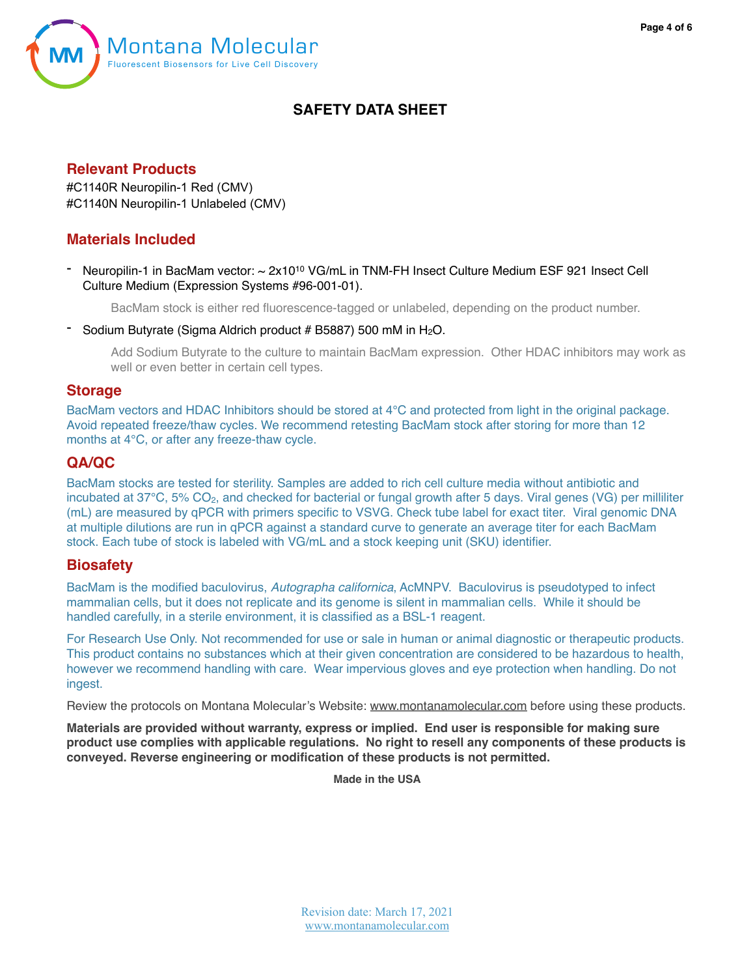



### **Relevant Products**

#C1140R Neuropilin-1 Red (CMV) #C1140N Neuropilin-1 Unlabeled (CMV)

# **Materials Included**

Neuropilin-1 in BacMam vector: ~ 2x10<sup>10</sup> VG/mL in TNM-FH Insect Culture Medium ESF 921 Insect Cell Culture Medium (Expression Systems #96-001-01).

BacMam stock is either red fluorescence-tagged or unlabeled, depending on the product number.

Sodium Butyrate (Sigma Aldrich product  $#$  B5887) 500 mM in  $H_2O$ .

Add Sodium Butyrate to the culture to maintain BacMam expression. Other HDAC inhibitors may work as well or even better in certain cell types.

#### **Storage**

BacMam vectors and HDAC Inhibitors should be stored at 4°C and protected from light in the original package. Avoid repeated freeze/thaw cycles. We recommend retesting BacMam stock after storing for more than 12 months at 4°C, or after any freeze-thaw cycle.

## **QA/QC**

BacMam stocks are tested for sterility. Samples are added to rich cell culture media without antibiotic and incubated at 37°C, 5% CO2, and checked for bacterial or fungal growth after 5 days. Viral genes (VG) per milliliter (mL) are measured by qPCR with primers specific to VSVG. Check tube label for exact titer. Viral genomic DNA at multiple dilutions are run in qPCR against a standard curve to generate an average titer for each BacMam stock. Each tube of stock is labeled with VG/mL and a stock keeping unit (SKU) identifier.

### **Biosafety**

BacMam is the modified baculovirus, *Autographa californica*, AcMNPV. Baculovirus is pseudotyped to infect mammalian cells, but it does not replicate and its genome is silent in mammalian cells. While it should be handled carefully, in a sterile environment, it is classified as a BSL-1 reagent.

For Research Use Only. Not recommended for use or sale in human or animal diagnostic or therapeutic products. This product contains no substances which at their given concentration are considered to be hazardous to health, however we recommend handling with care. Wear impervious gloves and eye protection when handling. Do not ingest.

Review the protocols on Montana Molecular's Website: [www.montanamolecular.com](http://www.montanamolecular.com) before using these products.

**Materials are provided without warranty, express or implied. End user is responsible for making sure product use complies with applicable regulations. No right to resell any components of these products is conveyed. Reverse engineering or modification of these products is not permitted.**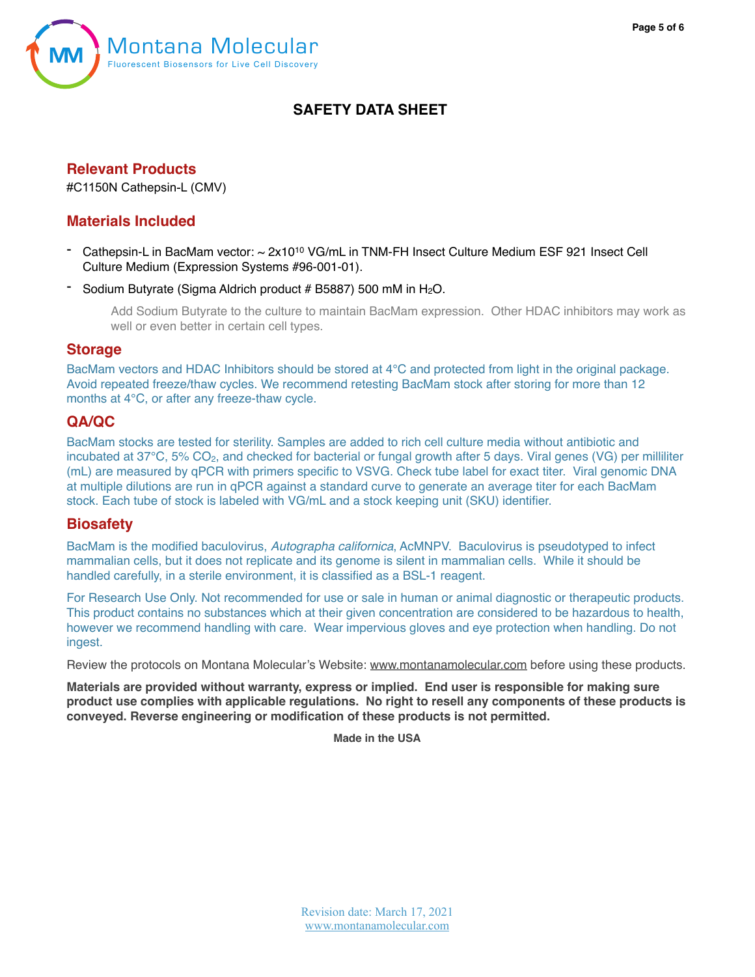



# **Relevant Products**

#C1150N Cathepsin-L (CMV)

### **Materials Included**

- Cathepsin-L in BacMam vector: ~ 2x10<sup>10</sup> VG/mL in TNM-FH Insect Culture Medium ESF 921 Insect Cell Culture Medium (Expression Systems #96-001-01).
- Sodium Butyrate (Sigma Aldrich product # B5887) 500 mM in  $H_2O$ .

Add Sodium Butyrate to the culture to maintain BacMam expression. Other HDAC inhibitors may work as well or even better in certain cell types.

#### **Storage**

BacMam vectors and HDAC Inhibitors should be stored at 4°C and protected from light in the original package. Avoid repeated freeze/thaw cycles. We recommend retesting BacMam stock after storing for more than 12 months at 4°C, or after any freeze-thaw cycle.

# **QA/QC**

BacMam stocks are tested for sterility. Samples are added to rich cell culture media without antibiotic and incubated at 37°C, 5% CO<sub>2</sub>, and checked for bacterial or fungal growth after 5 days. Viral genes (VG) per milliliter (mL) are measured by qPCR with primers specific to VSVG. Check tube label for exact titer. Viral genomic DNA at multiple dilutions are run in qPCR against a standard curve to generate an average titer for each BacMam stock. Each tube of stock is labeled with VG/mL and a stock keeping unit (SKU) identifier.

### **Biosafety**

BacMam is the modified baculovirus, *Autographa californica*, AcMNPV. Baculovirus is pseudotyped to infect mammalian cells, but it does not replicate and its genome is silent in mammalian cells. While it should be handled carefully, in a sterile environment, it is classified as a BSL-1 reagent.

For Research Use Only. Not recommended for use or sale in human or animal diagnostic or therapeutic products. This product contains no substances which at their given concentration are considered to be hazardous to health, however we recommend handling with care. Wear impervious gloves and eye protection when handling. Do not ingest.

Review the protocols on Montana Molecular's Website: [www.montanamolecular.com](http://www.montanamolecular.com) before using these products.

**Materials are provided without warranty, express or implied. End user is responsible for making sure product use complies with applicable regulations. No right to resell any components of these products is conveyed. Reverse engineering or modification of these products is not permitted.**